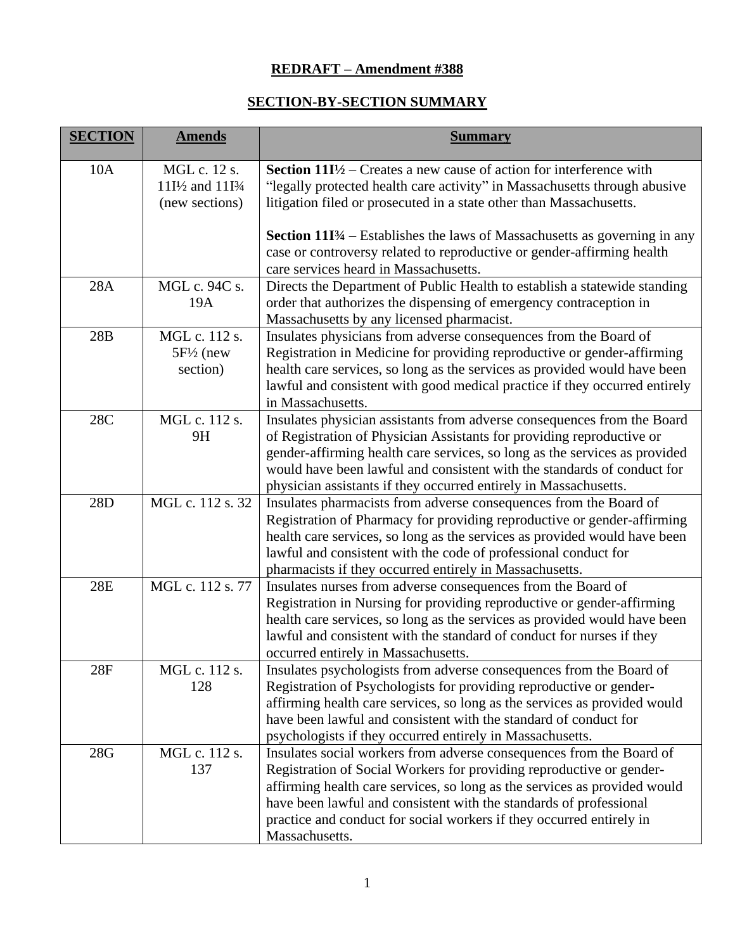## **REDRAFT – Amendment #388**

## **SECTION-BY-SECTION SUMMARY**

| <b>SECTION</b> | <b>Amends</b>                                                                           | <b>Summary</b>                                                                                                                                                                                                                                                                                                                                                                            |
|----------------|-----------------------------------------------------------------------------------------|-------------------------------------------------------------------------------------------------------------------------------------------------------------------------------------------------------------------------------------------------------------------------------------------------------------------------------------------------------------------------------------------|
| 10A            | MGL c. 12 s.<br>11I <sup>/2</sup> and 11I <sup>3</sup> / <sub>4</sub><br>(new sections) | <b>Section 11I</b> $\frac{1}{2}$ – Creates a new cause of action for interference with<br>"legally protected health care activity" in Massachusetts through abusive<br>litigation filed or prosecuted in a state other than Massachusetts.                                                                                                                                                |
|                |                                                                                         | <b>Section 11I</b> <sup>3</sup> / <sub>4</sub> – Establishes the laws of Massachusetts as governing in any<br>case or controversy related to reproductive or gender-affirming health<br>care services heard in Massachusetts.                                                                                                                                                             |
| <b>28A</b>     | MGL c. 94C s.<br>19A                                                                    | Directs the Department of Public Health to establish a statewide standing<br>order that authorizes the dispensing of emergency contraception in<br>Massachusetts by any licensed pharmacist.                                                                                                                                                                                              |
| 28B            | MGL c. 112 s.<br>$5F\frac{1}{2}$ (new<br>section)                                       | Insulates physicians from adverse consequences from the Board of<br>Registration in Medicine for providing reproductive or gender-affirming<br>health care services, so long as the services as provided would have been<br>lawful and consistent with good medical practice if they occurred entirely<br>in Massachusetts.                                                               |
| 28C            | MGL c. 112 s.<br>9H                                                                     | Insulates physician assistants from adverse consequences from the Board<br>of Registration of Physician Assistants for providing reproductive or<br>gender-affirming health care services, so long as the services as provided<br>would have been lawful and consistent with the standards of conduct for<br>physician assistants if they occurred entirely in Massachusetts.             |
| 28D            | MGL c. 112 s. 32                                                                        | Insulates pharmacists from adverse consequences from the Board of<br>Registration of Pharmacy for providing reproductive or gender-affirming<br>health care services, so long as the services as provided would have been<br>lawful and consistent with the code of professional conduct for<br>pharmacists if they occurred entirely in Massachusetts.                                   |
| <b>28E</b>     | MGL c. 112 s. 77                                                                        | Insulates nurses from adverse consequences from the Board of<br>Registration in Nursing for providing reproductive or gender-affirming<br>health care services, so long as the services as provided would have been<br>lawful and consistent with the standard of conduct for nurses if they<br>occurred entirely in Massachusetts.                                                       |
| 28F            | MGL c. 112 s.<br>128                                                                    | Insulates psychologists from adverse consequences from the Board of<br>Registration of Psychologists for providing reproductive or gender-<br>affirming health care services, so long as the services as provided would<br>have been lawful and consistent with the standard of conduct for<br>psychologists if they occurred entirely in Massachusetts.                                  |
| 28G            | MGL c. 112 s.<br>137                                                                    | Insulates social workers from adverse consequences from the Board of<br>Registration of Social Workers for providing reproductive or gender-<br>affirming health care services, so long as the services as provided would<br>have been lawful and consistent with the standards of professional<br>practice and conduct for social workers if they occurred entirely in<br>Massachusetts. |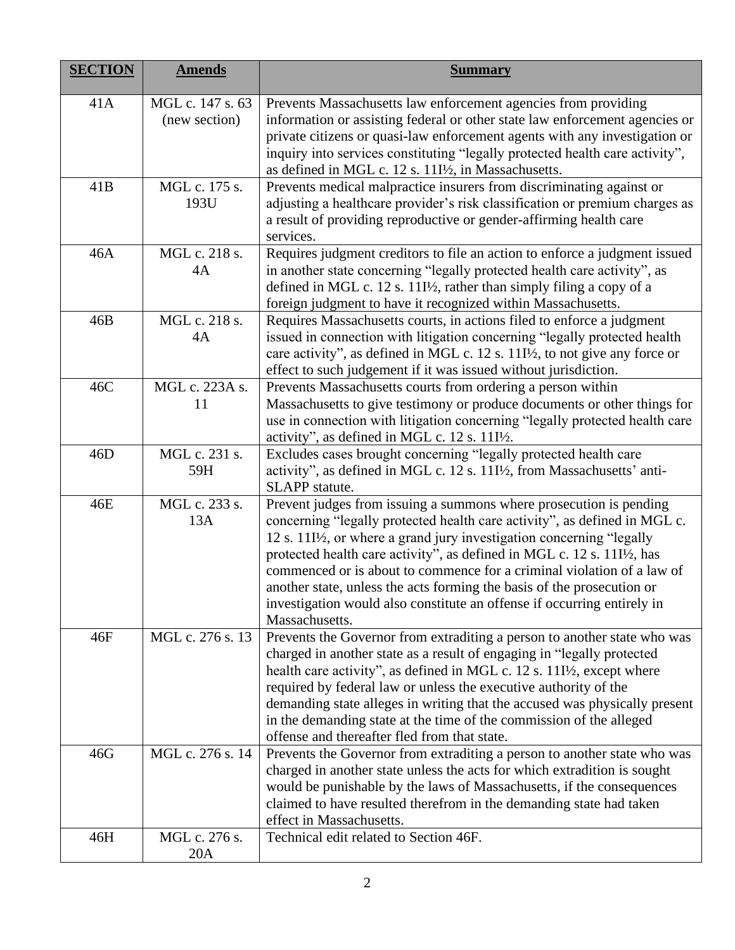| <b>SECTION</b> | <b>Amends</b>                     | <b>Summary</b>                                                                                                                                                                                                                                                                                                                                                                                                                                                                                                                                                                             |
|----------------|-----------------------------------|--------------------------------------------------------------------------------------------------------------------------------------------------------------------------------------------------------------------------------------------------------------------------------------------------------------------------------------------------------------------------------------------------------------------------------------------------------------------------------------------------------------------------------------------------------------------------------------------|
| 41A            | MGL c. 147 s. 63<br>(new section) | Prevents Massachusetts law enforcement agencies from providing<br>information or assisting federal or other state law enforcement agencies or<br>private citizens or quasi-law enforcement agents with any investigation or<br>inquiry into services constituting "legally protected health care activity",<br>as defined in MGL c. 12 s. 11I <sup>1</sup> / <sub>2</sub> , in Massachusetts.                                                                                                                                                                                              |
| 41B            | MGL c. 175 s.<br>193U             | Prevents medical malpractice insurers from discriminating against or<br>adjusting a healthcare provider's risk classification or premium charges as<br>a result of providing reproductive or gender-affirming health care<br>services.                                                                                                                                                                                                                                                                                                                                                     |
| 46A            | MGL c. 218 s.<br>4A               | Requires judgment creditors to file an action to enforce a judgment issued<br>in another state concerning "legally protected health care activity", as<br>defined in MGL c. 12 s. 11I <sup>1</sup> / <sub>2</sub> , rather than simply filing a copy of a<br>foreign judgment to have it recognized within Massachusetts.                                                                                                                                                                                                                                                                  |
| 46B            | MGL c. 218 s.<br>4A               | Requires Massachusetts courts, in actions filed to enforce a judgment<br>issued in connection with litigation concerning "legally protected health<br>care activity", as defined in MGL c. 12 s. 11I <sup>/2</sup> , to not give any force or<br>effect to such judgement if it was issued without jurisdiction.                                                                                                                                                                                                                                                                           |
| 46C            | MGL c. 223A s.<br>11              | Prevents Massachusetts courts from ordering a person within<br>Massachusetts to give testimony or produce documents or other things for<br>use in connection with litigation concerning "legally protected health care<br>activity", as defined in MGL c. 12 s. 11I <sup>1</sup> / <sub>2</sub> .                                                                                                                                                                                                                                                                                          |
| 46D            | MGL c. 231 s.<br>59H              | Excludes cases brought concerning "legally protected health care<br>activity", as defined in MGL c. 12 s. 11I <sup>1</sup> /2, from Massachusetts' anti-<br>SLAPP statute.                                                                                                                                                                                                                                                                                                                                                                                                                 |
| 46E            | MGL c. 233 s.<br>13A              | Prevent judges from issuing a summons where prosecution is pending<br>concerning "legally protected health care activity", as defined in MGL c.<br>12 s. 11I <sup>/2</sup> , or where a grand jury investigation concerning "legally<br>protected health care activity", as defined in MGL c. 12 s. 11I <sup>1</sup> / <sub>2</sub> , has<br>commenced or is about to commence for a criminal violation of a law of<br>another state, unless the acts forming the basis of the prosecution or<br>investigation would also constitute an offense if occurring entirely in<br>Massachusetts. |
| 46F            | MGL c. 276 s. 13                  | Prevents the Governor from extraditing a person to another state who was<br>charged in another state as a result of engaging in "legally protected<br>health care activity", as defined in MGL c. 12 s. 11I <sup>1</sup> / <sub>2</sub> , except where<br>required by federal law or unless the executive authority of the<br>demanding state alleges in writing that the accused was physically present<br>in the demanding state at the time of the commission of the alleged<br>offense and thereafter fled from that state.                                                            |
| 46G            | MGL c. 276 s. 14                  | Prevents the Governor from extraditing a person to another state who was<br>charged in another state unless the acts for which extradition is sought<br>would be punishable by the laws of Massachusetts, if the consequences<br>claimed to have resulted therefrom in the demanding state had taken<br>effect in Massachusetts.                                                                                                                                                                                                                                                           |
| 46H            | MGL c. 276 s.<br>20A              | Technical edit related to Section 46F.                                                                                                                                                                                                                                                                                                                                                                                                                                                                                                                                                     |